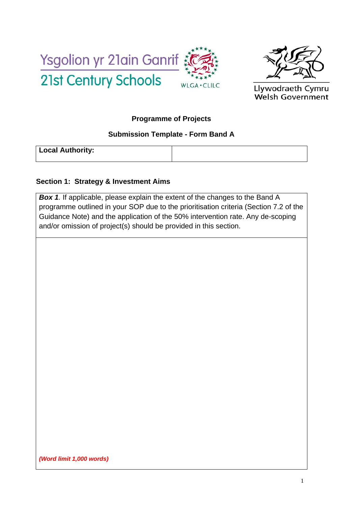



Llywodraeth Cymru **Welsh Government** 

### **Programme of Projects**

### **Submission Template - Form Band A**

**Local Authority:** 

### **Section 1: Strategy & Investment Aims**

*Box 1.* If applicable, please explain the extent of the changes to the Band A programme outlined in your SOP due to the prioritisation criteria (Section 7.2 of the Guidance Note) and the application of the 50% intervention rate. Any de-scoping and/or omission of project(s) should be provided in this section.

*(Word limit 1,000 words)*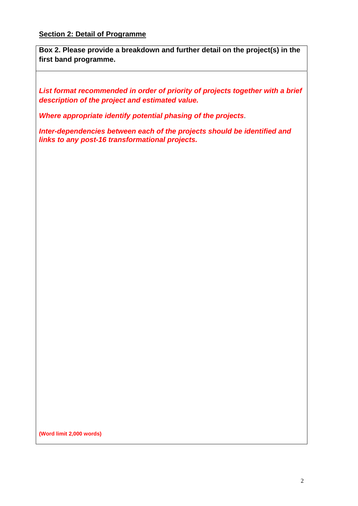**Box 2. Please provide a breakdown and further detail on the project(s) in the first band programme.** 

*List format recommended in order of priority of projects together with a brief description of the project and estimated value.* 

*Where appropriate identify potential phasing of the projects*.

*Inter-dependencies between each of the projects should be identified and links to any post-16 transformational projects.* 

**(Word limit 2,000 words)**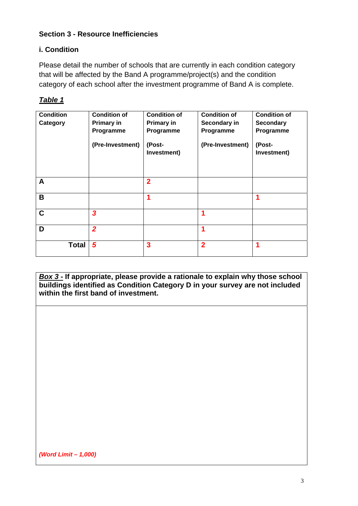### **Section 3 - Resource Inefficiencies**

### **i. Condition**

Please detail the number of schools that are currently in each condition category that will be affected by the Band A programme/project(s) and the condition category of each school after the investment programme of Band A is complete.

| 'able |
|-------|
|-------|

| <b>Condition</b><br>Category | <b>Condition of</b><br><b>Primary in</b><br>Programme<br>(Pre-Investment) | <b>Condition of</b><br>Primary in<br>Programme<br>(Post-<br>Investment) | <b>Condition of</b><br>Secondary in<br>Programme<br>(Pre-Investment) | <b>Condition of</b><br><b>Secondary</b><br>Programme<br>(Post-<br>Investment) |
|------------------------------|---------------------------------------------------------------------------|-------------------------------------------------------------------------|----------------------------------------------------------------------|-------------------------------------------------------------------------------|
| A                            |                                                                           | $\overline{2}$                                                          |                                                                      |                                                                               |
| B                            |                                                                           |                                                                         |                                                                      |                                                                               |
| $\mathbf C$                  | $\overline{\mathbf{3}}$                                                   |                                                                         |                                                                      |                                                                               |
| D                            | $\overline{2}$                                                            |                                                                         | 1                                                                    |                                                                               |
| <b>Total</b>                 | 5                                                                         | 3                                                                       | $\overline{2}$                                                       |                                                                               |

*Box 3* **- If appropriate, please provide a rationale to explain why those school buildings identified as Condition Category D in your survey are not included within the first band of investment.** 

*(Word Limit – 1,000)*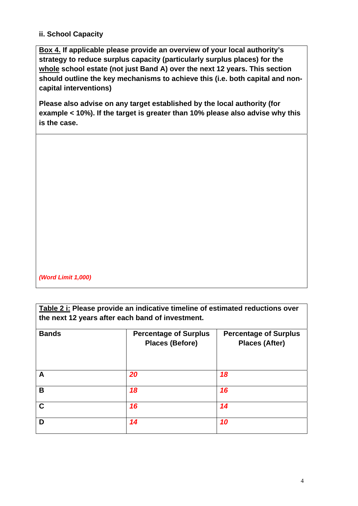### **ii. School Capacity**

**Box 4. If applicable please provide an overview of your local authority's strategy to reduce surplus capacity (particularly surplus places) for the whole school estate (not just Band A) over the next 12 years. This section should outline the key mechanisms to achieve this (i.e. both capital and noncapital interventions)** 

**Please also advise on any target established by the local authority (for example < 10%). If the target is greater than 10% please also advise why this is the case.** 

*(Word Limit 1,000)* 

**Table 2 i: Please provide an indicative timeline of estimated reductions over the next 12 years after each band of investment.** 

| <b>Bands</b> | <b>Percentage of Surplus</b><br><b>Places (Before)</b> | <b>Percentage of Surplus</b><br><b>Places (After)</b> |
|--------------|--------------------------------------------------------|-------------------------------------------------------|
| А            | 20                                                     | 18                                                    |
| B            | 18                                                     | 16                                                    |
| C            | 16                                                     | 14                                                    |
| D            | 14                                                     | 10                                                    |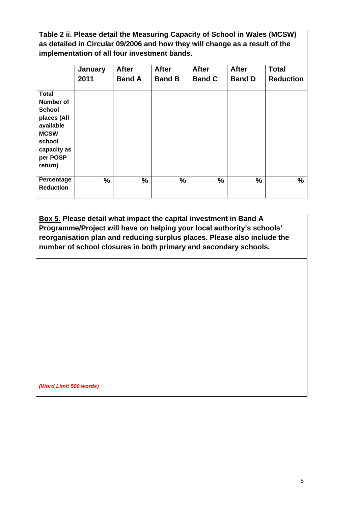**Table 2 ii. Please detail the Measuring Capacity of School in Wales (MCSW) as detailed in Circular 09/2006 and how they will change as a result of the implementation of all four investment bands.**

|                                                                                                                                              | January<br>2011 | <b>After</b><br><b>Band A</b> | <b>After</b><br><b>Band B</b> | <b>After</b><br><b>Band C</b> | <b>After</b><br><b>Band D</b> | <b>Total</b><br><b>Reduction</b> |
|----------------------------------------------------------------------------------------------------------------------------------------------|-----------------|-------------------------------|-------------------------------|-------------------------------|-------------------------------|----------------------------------|
| <b>Total</b><br><b>Number of</b><br><b>School</b><br>places (All<br>available<br><b>MCSW</b><br>school<br>capacity as<br>per POSP<br>return) |                 |                               |                               |                               |                               |                                  |
| Percentage<br><b>Reduction</b>                                                                                                               | $\%$            | $\frac{9}{6}$                 | $\frac{9}{6}$                 | %                             | $\frac{9}{6}$                 | $\frac{9}{6}$                    |

**Box 5. Please detail what impact the capital investment in Band A Programme/Project will have on helping your local authority's schools' reorganisation plan and reducing surplus places. Please also include the number of school closures in both primary and secondary schools.** 

*(Word Limit 500 words)*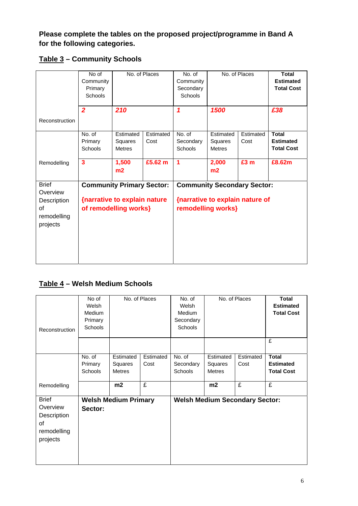**Please complete the tables on the proposed project/programme in Band A for the following categories.** 

|  |  | Table 3 - Community Schools |  |
|--|--|-----------------------------|--|
|--|--|-----------------------------|--|

|                                                                          | No of<br>Community<br>Primary<br>Schools |                                                                                           | No. of Places     | No. of<br>Community<br>Secondary<br><b>Schools</b>                                          |                                       | No. of Places     | <b>Total</b><br><b>Estimated</b><br><b>Total Cost</b> |
|--------------------------------------------------------------------------|------------------------------------------|-------------------------------------------------------------------------------------------|-------------------|---------------------------------------------------------------------------------------------|---------------------------------------|-------------------|-------------------------------------------------------|
| Reconstruction                                                           | $\overline{2}$                           | 210                                                                                       |                   | 1                                                                                           | 1500                                  |                   | £38                                                   |
|                                                                          | No. of<br>Primary<br>Schools             | Estimated<br>Squares<br><b>Metres</b>                                                     | Estimated<br>Cost | No. of<br>Secondary<br>Schools                                                              | Estimated<br>Squares<br><b>Metres</b> | Estimated<br>Cost | <b>Total</b><br><b>Estimated</b><br><b>Total Cost</b> |
| Remodelling                                                              | $\overline{\mathbf{3}}$                  | 1,500<br>m2                                                                               | £5.62 m           | 1                                                                                           | 2,000<br>m2                           | £3 m              | £8.62m                                                |
| <b>Brief</b><br>Overview<br>Description<br>of<br>remodelling<br>projects |                                          | <b>Community Primary Sector:</b><br>{narrative to explain nature<br>of remodelling works} |                   | <b>Community Secondary Sector:</b><br>{narrative to explain nature of<br>remodelling works} |                                       |                   |                                                       |

## **Table 4 – Welsh Medium Schools**

| Reconstruction                                                           | No of<br>Welsh<br>Medium<br>Primary<br>Schools |                                       | No. of Places     | No. of<br>Welsh<br>Medium<br>Secondary<br>Schools |                                       | No. of Places     | <b>Total</b><br><b>Estimated</b><br><b>Total Cost</b> |
|--------------------------------------------------------------------------|------------------------------------------------|---------------------------------------|-------------------|---------------------------------------------------|---------------------------------------|-------------------|-------------------------------------------------------|
|                                                                          |                                                |                                       |                   |                                                   |                                       |                   | £                                                     |
|                                                                          | No. of<br>Primary<br>Schools                   | Estimated<br>Squares<br><b>Metres</b> | Estimated<br>Cost | No. of<br>Secondary<br><b>Schools</b>             | Estimated<br>Squares<br><b>Metres</b> | Estimated<br>Cost | <b>Total</b><br><b>Estimated</b><br><b>Total Cost</b> |
| Remodelling                                                              |                                                | m2                                    | £                 |                                                   | m2                                    | £                 | £                                                     |
| <b>Brief</b><br>Overview<br>Description<br>οf<br>remodelling<br>projects | Sector:                                        | <b>Welsh Medium Primary</b>           |                   |                                                   | <b>Welsh Medium Secondary Sector:</b> |                   |                                                       |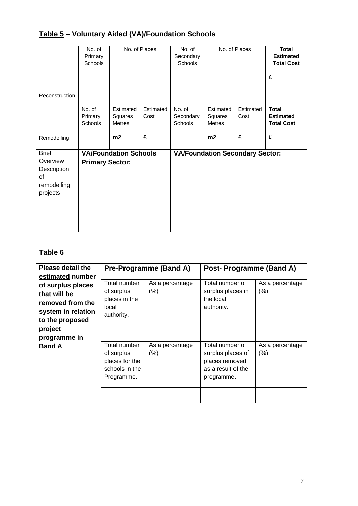# **Table 5 – Voluntary Aided (VA)/Foundation Schools**

|                                                                          | No. of<br>Primary<br>Schools        |                                | No. of Places     | No. of<br>Secondary<br><b>Schools</b>  |                                | No. of Places     | <b>Total</b><br><b>Estimated</b><br><b>Total Cost</b> |
|--------------------------------------------------------------------------|-------------------------------------|--------------------------------|-------------------|----------------------------------------|--------------------------------|-------------------|-------------------------------------------------------|
| Reconstruction                                                           |                                     |                                |                   |                                        |                                |                   | £                                                     |
|                                                                          | No. of<br>Primary<br><b>Schools</b> | Estimated<br>Squares<br>Metres | Estimated<br>Cost | No. of<br>Secondary<br><b>Schools</b>  | Estimated<br>Squares<br>Metres | Estimated<br>Cost | <b>Total</b><br><b>Estimated</b><br><b>Total Cost</b> |
| Remodelling                                                              |                                     | m2                             | £                 |                                        | m2                             | £                 | £                                                     |
| <b>Brief</b><br>Overview<br>Description<br>οf<br>remodelling<br>projects | <b>Primary Sector:</b>              | <b>VA/Foundation Schools</b>   |                   | <b>VA/Foundation Secondary Sector:</b> |                                |                   |                                                       |

## **Table 6**

| <b>Please detail the</b> |                     | <b>Pre-Programme (Band A)</b> | Post- Programme (Band A) |                 |
|--------------------------|---------------------|-------------------------------|--------------------------|-----------------|
| estimated number         |                     |                               |                          |                 |
| of surplus places        | Total number        | As a percentage               | Total number of          | As a percentage |
| that will be             | of surplus          | (% )                          | surplus places in        | (% )            |
| removed from the         | places in the       |                               | the local                |                 |
| system in relation       | local<br>authority. |                               | authority.               |                 |
| to the proposed          |                     |                               |                          |                 |
| project                  |                     |                               |                          |                 |
| programme in             |                     |                               |                          |                 |
| <b>Band A</b>            | Total number        | As a percentage               | Total number of          | As a percentage |
|                          | of surplus          | (% )                          | surplus places of        | (% )            |
|                          | places for the      |                               | places removed           |                 |
|                          | schools in the      |                               | as a result of the       |                 |
|                          | Programme.          |                               | programme.               |                 |
|                          |                     |                               |                          |                 |
|                          |                     |                               |                          |                 |
|                          |                     |                               |                          |                 |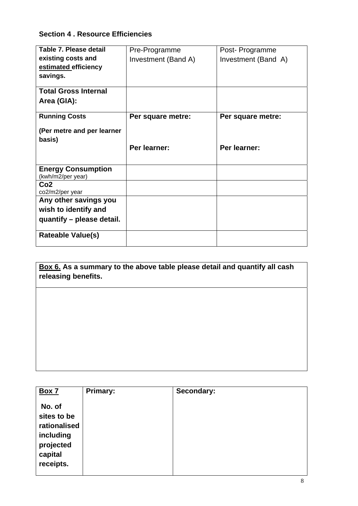## **Section 4 . Resource Efficiencies**

| Table 7. Please detail      | Pre-Programme       | Post- Programme     |
|-----------------------------|---------------------|---------------------|
| existing costs and          | Investment (Band A) | Investment (Band A) |
| estimated efficiency        |                     |                     |
| savings.                    |                     |                     |
| <b>Total Gross Internal</b> |                     |                     |
| Area (GIA):                 |                     |                     |
| <b>Running Costs</b>        | Per square metre:   | Per square metre:   |
| (Per metre and per learner  |                     |                     |
| basis)                      |                     |                     |
|                             | Per learner:        | Per learner:        |
|                             |                     |                     |
| <b>Energy Consumption</b>   |                     |                     |
| (kwh/m2/per year)           |                     |                     |
| Co <sub>2</sub>             |                     |                     |
| co2/m2/per year             |                     |                     |
| Any other savings you       |                     |                     |
| wish to identify and        |                     |                     |
| quantify – please detail.   |                     |                     |
| <b>Rateable Value(s)</b>    |                     |                     |

**Box 6. As a summary to the above table please detail and quantify all cash releasing benefits.** 

| <b>Box 7</b>                                                                            | Primary: | Secondary: |
|-----------------------------------------------------------------------------------------|----------|------------|
| No. of<br>sites to be<br>rationalised<br>including<br>projected<br>capital<br>receipts. |          |            |